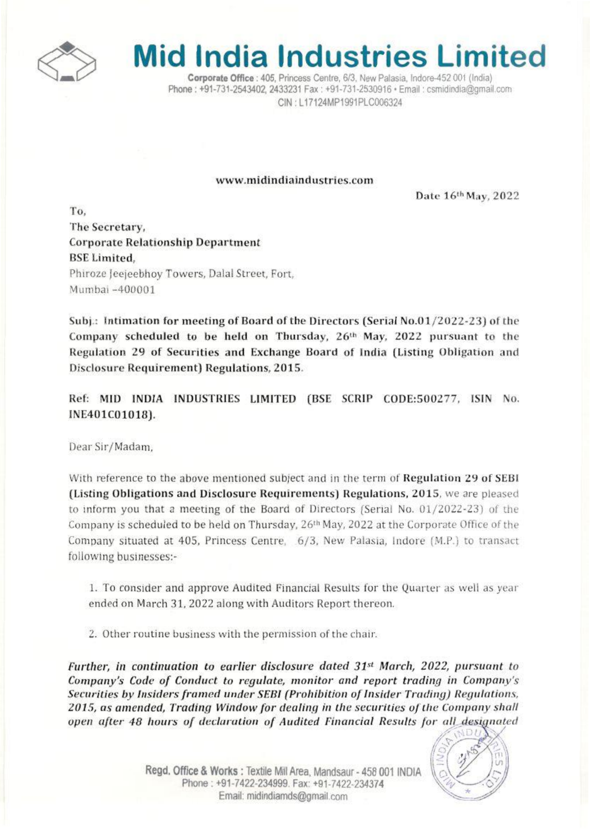

## **Mid India Industries Limited**

Corporate Office : 405, Princess Centre, 6/3, New Palasia, Indore-452 001 (India) Phone: +91-731-2543402. 2433231 Fax: +91-731-2530916 · Email: csmidindia@gmail.com CIN: L17124MP1991PLC006324

## www.midindiaindustries.com

Date 16th May, 2022

To. The Secretary, **Corporate Relationship Department BSE Limited.** Phiroze Jeejeebhoy Towers, Dalal Street, Fort, Mumbai -400001

Subj.: Intimation for meeting of Board of the Directors (Serial No.01/2022-23) of the Company scheduled to be held on Thursday, 26th May, 2022 pursuant to the Regulation 29 of Securities and Exchange Board of India (Listing Obligation and Disclosure Requirement) Regulations, 2015.

Ref: MID INDIA INDUSTRIES LIMITED (BSE SCRIP CODE:500277, ISIN No. INE401C01018).

Dear Sir/Madam.

With reference to the above mentioned subject and in the term of Regulation 29 of SEBI (Listing Obligations and Disclosure Requirements) Regulations, 2015, we are pleased to inform you that a meeting of the Board of Directors (Serial No. 01/2022-23) of the Company is scheduled to be held on Thursday, 26<sup>th</sup> May, 2022 at the Corporate Office of the Company situated at 405, Princess Centre, 6/3, New Palasia, Indore (M.P.) to transact following businesses:-

1. To consider and approve Audited Financial Results for the Quarter as well as year ended on March 31, 2022 along with Auditors Report thereon.

2. Other routine business with the permission of the chair.

Further, in continuation to earlier disclosure dated  $31<sup>st</sup>$  March, 2022, pursuant to Company's Code of Conduct to regulate, monitor and report trading in Company's Securities by Insiders framed under SEBI (Prohibition of Insider Trading) Regulations, 2015, as amended, Trading Window for dealing in the securities of the Company shall open after 48 hours of declaration of Audited Financial Results for all designated